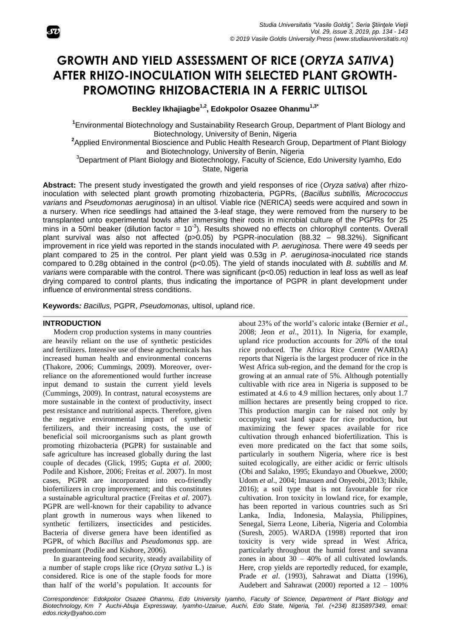# **GROWTH AND YIELD ASSESSMENT OF RICE (***ORYZA SATIVA***) AFTER RHIZO-INOCULATION WITH SELECTED PLANT GROWTH-PROMOTING RHIZOBACTERIA IN A FERRIC ULTISOL**

**Beckley Ikhajiagbe1,2, Edokpolor Osazee Ohanmu1,3\***

**1** Environmental Biotechnology and Sustainability Research Group, Department of Plant Biology and Biotechnology, University of Benin, Nigeria

**2** Applied Environmental Bioscience and Public Health Research Group, Department of Plant Biology and Biotechnology, University of Benin, Nigeria

<sup>3</sup>Department of Plant Biology and Biotechnology, Faculty of Science, Edo University Iyamho, Edo

State, Nigeria

**Abstract:** The present study investigated the growth and yield responses of rice (*Oryza sativa*) after rhizoinoculation with selected plant growth promoting rhizobacteria, PGPRs, (*Bacillus subtillis, Micrococcus varians* and *Pseudomonas aeruginosa*) in an ultisol. Viable rice (NERICA) seeds were acquired and sown in a nursery. When rice seedlings had attained the 3-leaf stage, they were removed from the nursery to be transplanted unto experimental bowls after immersing their roots in microbial culture of the PGPRs for 25 mins in a 50ml beaker (dilution factor =  $10^{-3}$ ). Results showed no effects on chlorophyll contents. Overall plant survival was also not affected (p>0.05) by PGPR-inoculation (88.32 – 98.32%). Significant improvement in rice yield was reported in the stands inoculated with *P. aeruginosa.* There were 49 seeds per plant compared to 25 in the control. Per plant yield was 0.53g in *P. aeruginosa*-inoculated rice stands compared to 0.28g obtained in the control (p<0.05). The yield of stands inoculated with *B. subtillis* and *M. varians* were comparable with the control. There was significant (p<0.05) reduction in leaf loss as well as leaf drying compared to control plants, thus indicating the importance of PGPR in plant development under influence of environmental stress conditions.

**Keywords***: Bacillus,* PGPR, *Pseudomonas,* ultisol, upland rice.

# **INTRODUCTION**

Modern crop production systems in many countries are heavily reliant on the use of synthetic pesticides and fertilizers. Intensive use of these agrochemicals has increased human health and environmental concerns (Thakore, 2006; Cummings, 2009). Moreover, overreliance on the aforementioned would further increase input demand to sustain the current yield levels (Cummings, 2009). In contrast, natural ecosystems are more sustainable in the context of productivity, insect pest resistance and nutritional aspects. Therefore, given the negative environmental impact of synthetic fertilizers, and their increasing costs, the use of beneficial soil microorganisms such as plant growth promoting rhizobacteria (PGPR) for sustainable and safe agriculture has increased globally during the last couple of decades (Glick, 1995; Gupta *et al*. 2000; Podile and Kishore, 2006; Freitas *et al*. 2007). In most cases, PGPR are incorporated into eco-friendly biofertilizers in crop improvement; and this constitutes a sustainable agricultural practice (Freitas *et al*. 2007). PGPR are well-known for their capability to advance plant growth in numerous ways when likened to synthetic fertilizers, insecticides and pesticides. Bacteria of diverse genera have been identified as PGPR, of which *Bacillus* and *Pseudomonas* spp. are predominant (Podile and Kishore, 2006).

In guaranteeing food security, steady availability of a number of staple crops like rice (*Oryza sativa* L.) is considered. Rice is one of the staple foods for more than half of the world's population. It accounts for

about 23% of the world's caloric intake (Bernier *et al*., 2008; Jeon *et al*., 2011). In Nigeria, for example, upland rice production accounts for 20% of the total rice produced. The Africa Rice Centre (WARDA) reports that Nigeria is the largest producer of rice in the West Africa sub-region, and the demand for the crop is growing at an annual rate of 5%. Although potentially cultivable with rice area in Nigeria is supposed to be estimated at 4.6 to 4.9 million hectares, only about 1.7 million hectares are presently being cropped to rice. This production margin can be raised not only by occupying vast land space for rice production, but maximizing the fewer spaces available for rice cultivation through enhanced biofertilization. This is even more predicated on the fact that some soils, particularly in southern Nigeria, where rice is best suited ecologically, are either acidic or ferric ultisols (Obi and Salako, 1995; Ekundayo and Obuekwe, 2000; Udom *et al*., 2004; Imasuen and Onyeobi, 2013; Ikhile, 2016); a soil type that is not favourable for rice cultivation. Iron toxicity in lowland rice, for example, has been reported in various countries such as Sri Lanka, India, Indonesia, Malaysia, Philippines, Senegal, Sierra Leone, Liberia, Nigeria and Colombia (Suresh, 2005). WARDA (1998) reported that iron toxicity is very wide spread in West Africa, particularly throughout the humid forest and savanna zones in about 30 – 40% of all cultivated lowlands. Here, crop yields are reportedly reduced, for example, Prade *et al*. (1993), Sahrawat and Diatta (1996), Audebert and Sahrawat (2000) reported a 12 – 100%

*Correspondence: Edokpolor Osazee Ohanmu, Edo University Iyamho, Faculty of Science, Department of Plant Biology and Biotechnology, Km 7 Auchi-Abuja Expressway, Iyamho-Uzairue, Auchi, Edo State, Nigeria, Tel. (+234) 8135897349, email: edos.ricky@yahoo.com*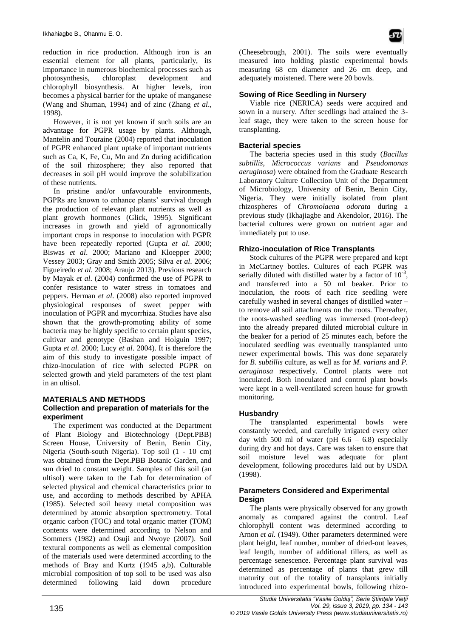reduction in rice production. Although iron is an essential element for all plants, particularly, its importance in numerous biochemical processes such as photosynthesis, chloroplast development and chlorophyll biosynthesis. At higher levels, iron becomes a physical barrier for the uptake of manganese (Wang and Shuman, 1994) and of zinc (Zhang *et al*., 1998).

However, it is not yet known if such soils are an advantage for PGPR usage by plants. Although, Mantelin and Touraine (2004) reported that inoculation of PGPR enhanced plant uptake of important nutrients such as Ca, K, Fe, Cu, Mn and Zn during acidification of the soil rhizosphere; they also reported that decreases in soil pH would improve the solubilization of these nutrients.

In pristine and/or unfavourable environments, PGPRs are known to enhance plants' survival through the production of relevant plant nutrients as well as plant growth hormones (Glick, 1995). Significant increases in growth and yield of agronomically important crops in response to inoculation with PGPR have been repeatedly reported (Gupta *et al*. 2000; Biswas *et al*. 2000; Mariano and Kloepper 2000; Vessey 2003; Gray and Smith 2005; Silva *et al*. 2006; Figueiredo *et al*. 2008; Araujo 2013). Previous research by Mayak *et al*. (2004) confirmed the use of PGPR to confer resistance to water stress in tomatoes and peppers. Herman *et al*. (2008) also reported improved physiological responses of sweet pepper with inoculation of PGPR and mycorrhiza. Studies have also shown that the growth-promoting ability of some bacteria may be highly specific to certain plant species, cultivar and genotype (Bashan and Holguin 1997; Gupta *et al*. 2000; Lucy *et al*. 2004). It is therefore the aim of this study to investigate possible impact of rhizo-inoculation of rice with selected PGPR on selected growth and yield parameters of the test plant in an ultisol.

# **MATERIALS AND METHODS**

# **Collection and preparation of materials for the experiment**

The experiment was conducted at the Department of Plant Biology and Biotechnology (Dept.PBB) Screen House, University of Benin, Benin City, Nigeria (South-south Nigeria). Top soil (1 - 10 cm) was obtained from the Dept.PBB Botanic Garden, and sun dried to constant weight. Samples of this soil (an ultisol) were taken to the Lab for determination of selected physical and chemical characteristics prior to use, and according to methods described by APHA (1985). Selected soil heavy metal composition was determined by atomic absorption spectrometry. Total organic carbon (TOC) and total organic matter (TOM) contents were determined according to Nelson and Sommers (1982) and Osuji and Nwoye (2007). Soil textural components as well as elemental composition of the materials used were determined according to the methods of Bray and Kurtz (1945 a,b). Culturable microbial composition of top soil to be used was also determined following laid down procedure

(Cheesebrough, 2001). The soils were eventually measured into holding plastic experimental bowls measuring 68 cm diameter and 26 cm deep, and adequately moistened. There were 20 bowls.

# **Sowing of Rice Seedling in Nursery**

Viable rice (NERICA) seeds were acquired and sown in a nursery. After seedlings had attained the 3 leaf stage, they were taken to the screen house for transplanting.

# **Bacterial species**

The bacteria species used in this study (*Bacillus subtillis, Micrococcus varians* and *Pseudomonas aeruginosa*) were obtained from the Graduate Research Laboratory Culture Collection Unit of the Department of Microbiology, University of Benin, Benin City, Nigeria. They were initially isolated from plant rhizospheres of *Chromolaena odorata* during a previous study (Ikhajiagbe and Akendolor, 2016). The bacterial cultures were grown on nutrient agar and immediately put to use.

# **Rhizo-inoculation of Rice Transplants**

Stock cultures of the PGPR were prepared and kept in McCartney bottles. Cultures of each PGPR was serially diluted with distilled water by a factor of  $10^{-3}$ , and transferred into a 50 ml beaker. Prior to inoculation, the roots of each rice seedling were carefully washed in several changes of distilled water – to remove all soil attachments on the roots. Thereafter, the roots-washed seedling was immersed (root-deep) into the already prepared diluted microbial culture in the beaker for a period of 25 minutes each, before the inoculated seedling was eventually transplanted unto newer experimental bowls. This was done separately for *B. subtillis* culture, as well as for *M. varians* and *P. aeruginosa* respectively. Control plants were not inoculated. Both inoculated and control plant bowls were kept in a well-ventilated screen house for growth monitoring.

# **Husbandry**

The transplanted experimental bowls were constantly weeded, and carefully irrigated every other day with 500 ml of water (pH  $6.6 - 6.8$ ) especially during dry and hot days. Care was taken to ensure that soil moisture level was adequate for plant development, following procedures laid out by USDA (1998).

# **Parameters Considered and Experimental Design**

The plants were physically observed for any growth anomaly as compared against the control. Leaf chlorophyll content was determined according to Arnon *et al.* (1949). Other parameters determined were plant height, leaf number, number of dried-out leaves, leaf length, number of additional tillers, as well as percentage senescence. Percentage plant survival was determined as percentage of plants that grew till maturity out of the totality of transplants initially introduced into experimental bowls, following rhizo-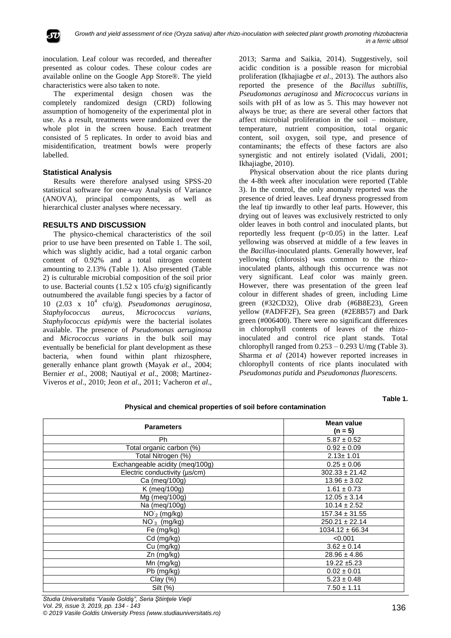

inoculation. Leaf colour was recorded, and thereafter presented as colour codes. These colour codes are available online on the Google App Store®. The yield characteristics were also taken to note.

The experimental design chosen was the completely randomized design (CRD) following assumption of homogeneity of the experimental plot in use. As a result, treatments were randomized over the whole plot in the screen house. Each treatment consisted of 5 replicates. In order to avoid bias and misidentification, treatment bowls were properly labelled.

# **Statistical Analysis**

Results were therefore analysed using SPSS-20 statistical software for one-way Analysis of Variance (ANOVA), principal components, as well as hierarchical cluster analyses where necessary.

# **RESULTS AND DISCUSSION**

The physico-chemical characteristics of the soil prior to use have been presented on Table 1. The soil, which was slightly acidic, had a total organic carbon content of 0.92% and a total nitrogen content amounting to 2.13% (Table 1). Also presented (Table 2) is culturable microbial composition of the soil prior to use. Bacterial counts  $(1.52 \times 105 \text{ cfty/g})$  significantly outnumbered the available fungi species by a factor of 10 (2.03 x 10<sup>4</sup> cfu/g). *Pseudomonas aeruginosa*, *Staphylococcus aureus, Micrococcus varians, Staphylococcus epidymis* were the bacterial isolates available. The presence of *Pseudomonas aeruginosa* and *Micrococcus varians* in the bulk soil may eventually be beneficial for plant development as these bacteria, when found within plant rhizosphere, generally enhance plant growth (Mayak *et al*., 2004; Bernier *et al*., 2008; Nautiyal *et al*., 2008; Martinez-Viveros *et al*., 2010; Jeon *et al*., 2011; Vacheron *et al*.,

2013; Sarma and Saikia, 2014). Suggestively, soil acidic condition is a possible reason for microbial proliferation (Ikhajiagbe *et al*., 2013). The authors also reported the presence of the *Bacillus subtillis*, *Pseudomonas aeruginosa* and *Micrococcus varians* in soils with pH of as low as 5. This may however not always be true; as there are several other factors that affect microbial proliferation in the soil – moisture, temperature, nutrient composition, total organic content, soil oxygen, soil type, and presence of contaminants; the effects of these factors are also synergistic and not entirely isolated (Vidali, 2001; Ikhajiagbe, 2010).

Physical observation about the rice plants during the 4-8th week after inoculation were reported (Table 3). In the control, the only anomaly reported was the presence of dried leaves. Leaf dryness progressed from the leaf tip inwardly to other leaf parts. However, this drying out of leaves was exclusively restricted to only older leaves in both control and inoculated plants, but reportedly less frequent  $(p<0.05)$  in the latter. Leaf yellowing was observed at middle of a few leaves in the *Bacillus*-inoculated plants. Generally however, leaf yellowing (chlorosis) was common to the rhizoinoculated plants, although this occurrence was not very significant. Leaf color was mainly green. However, there was presentation of the green leaf colour in different shades of green, including Lime green (#32CD32), Olive drab (#6B8E23), Green yellow (#ADFF2F), Sea green (#2E8B57) and Dark green (#006400). There were no significant differences in chlorophyll contents of leaves of the rhizoinoculated and control rice plant stands. Total chlorophyll ranged from  $0.253 - 0.293$  U/mg (Table 3). Sharma *et al* (2014) however reported increases in chlorophyll contents of rice plants inoculated with *Pseudomonas putida* and *Pseudomonas fluorescens.*

#### **Table 1.**

| <b>Parameters</b>               | Mean value<br>$(n = 5)$ |  |  |
|---------------------------------|-------------------------|--|--|
| Ph                              | $5.87 \pm 0.52$         |  |  |
| Total organic carbon (%)        | $0.92 \pm 0.09$         |  |  |
| Total Nitrogen (%)              | $2.13 \pm 1.01$         |  |  |
| Exchangeable acidity (meq/100g) | $0.25 \pm 0.06$         |  |  |
| Electric conductivity (µs/cm)   | $302.33 \pm 21.42$      |  |  |
| Ca (meg/100g)                   | $13.96 \pm 3.02$        |  |  |
| K (meg/100g)                    | $1.61 \pm 0.73$         |  |  |
| Mg (meg/100g)                   | $12.05 \pm 3.14$        |  |  |
| Na (meg/100g)                   | $10.14 \pm 2.52$        |  |  |
| $NO2$ (mg/kg)                   | $157.34 \pm 31.55$      |  |  |
| $NO_3$ (mg/kg)                  | $250.21 \pm 22.14$      |  |  |
| Fe (mg/kg)                      | $1034.12 \pm 66.34$     |  |  |
| Cd (mg/kg)                      | < 0.001                 |  |  |
| Cu (mg/kg)                      | $3.62 \pm 0.14$         |  |  |
| Zn (mg/kg)                      | $28.96 \pm 4.86$        |  |  |
| Mn (mg/kg)                      | $19.22 \pm 5.23$        |  |  |
| Pb (mg/kg)                      | $0.02 \pm 0.01$         |  |  |
| Clay $(\%)$                     | $5.23 \pm 0.48$         |  |  |
| Silt (%)                        | $7.50 \pm 1.11$         |  |  |

**Physical and chemical properties of soil before contamination**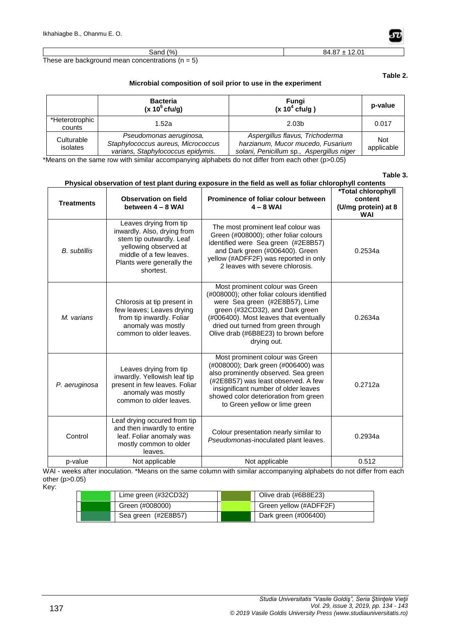| (9/0)                                                | $12.0^{\circ}$ |
|------------------------------------------------------|----------------|
| Sand                                                 | 84.87          |
| These are background mean concentrations ( $n = 5$ ) |                |

# **Table 2.**

# **Microbial composition of soil prior to use in the experiment**

|                          | <b>Bacteria</b><br>$(x 105$ cfu/g)                                                                 | Fungi<br>(x 10 <sup>4</sup> c f u/g)                                                                              | p-value                  |
|--------------------------|----------------------------------------------------------------------------------------------------|-------------------------------------------------------------------------------------------------------------------|--------------------------|
| *Heterotrophic<br>counts | 1.52a                                                                                              | 2.03 <sub>b</sub>                                                                                                 | 0.017                    |
| Culturable<br>isolates   | Pseudomonas aeruginosa,<br>Staphylococcus aureus, Micrococcus<br>varians, Staphylococcus epidymis. | Aspergillus flavus, Trichoderma<br>harzianum, Mucor mucedo, Fusarium<br>solani, Penicillum sp., Aspergillus niger | <b>Not</b><br>applicable |

\*Means on the same row with similar accompanying alphabets do not differ from each other (p>0.05)

### **Table 3.**

| Priysical observation of test plant during exposure in the field as well as follar chlorophyli contents |                                                                                                                                                                                 |                                                                                                                                                                                                                                                                                            |                                                                    |  |  |  |  |
|---------------------------------------------------------------------------------------------------------|---------------------------------------------------------------------------------------------------------------------------------------------------------------------------------|--------------------------------------------------------------------------------------------------------------------------------------------------------------------------------------------------------------------------------------------------------------------------------------------|--------------------------------------------------------------------|--|--|--|--|
| <b>Treatments</b>                                                                                       | <b>Observation on field</b><br>between 4 - 8 WAI                                                                                                                                | Prominence of foliar colour between<br>$4 - 8$ WAI                                                                                                                                                                                                                                         | *Total chlorophyll<br>content<br>(U/mg protein) at 8<br><b>WAI</b> |  |  |  |  |
| <b>B.</b> subtillis                                                                                     | Leaves drying from tip<br>inwardly. Also, drying from<br>stem tip outwardly. Leaf<br>yellowing observed at<br>middle of a few leaves.<br>Plants were generally the<br>shortest. | The most prominent leaf colour was<br>Green (#008000); other foliar colours<br>identified were Sea green (#2E8B57)<br>and Dark green (#006400). Green<br>yellow (#ADFF2F) was reported in only<br>2 leaves with severe chlorosis.                                                          | 0.2534a                                                            |  |  |  |  |
| M. varians                                                                                              | Chlorosis at tip present in<br>few leaves; Leaves drying<br>from tip inwardly. Foliar<br>anomaly was mostly<br>common to older leaves.                                          | Most prominent colour was Green<br>(#008000); other foliar colours identified<br>were Sea green (#2E8B57), Lime<br>green (#32CD32), and Dark green<br>(#006400). Most leaves that eventually<br>dried out turned from green through<br>Olive drab (#6B8E23) to brown before<br>drying out. | 0.2634a                                                            |  |  |  |  |
| P. aeruginosa                                                                                           | Leaves drying from tip<br>inwardly. Yellowish leaf tip<br>present in few leaves. Foliar<br>anomaly was mostly<br>common to older leaves.                                        | Most prominent colour was Green<br>(#008000); Dark green (#006400) was<br>also prominently observed. Sea green<br>(#2E8B57) was least observed. A few<br>insignificant number of older leaves<br>showed color deterioration from green<br>to Green yellow or lime green                    | 0.2712a                                                            |  |  |  |  |
| Control                                                                                                 | Leaf drying occured from tip<br>and then inwardly to entire<br>leaf. Foliar anomaly was<br>mostly common to older<br>leaves.                                                    | Colour presentation nearly similar to<br>Pseudomonas-inoculated plant leaves.                                                                                                                                                                                                              | 0.2934a                                                            |  |  |  |  |
| p-value                                                                                                 | Not applicable                                                                                                                                                                  | Not applicable                                                                                                                                                                                                                                                                             | 0.512                                                              |  |  |  |  |

WAI - weeks after inoculation. \*Means on the same column with similar accompanying alphabets do not differ from each other (p>0.05)

Key:

| Lime green (#32CD32) | Olive drab (#6B8E23)   |
|----------------------|------------------------|
| Green (#008000)      | Green yellow (#ADFF2F) |
| Sea green (#2E8B57)  | Dark green (#006400)   |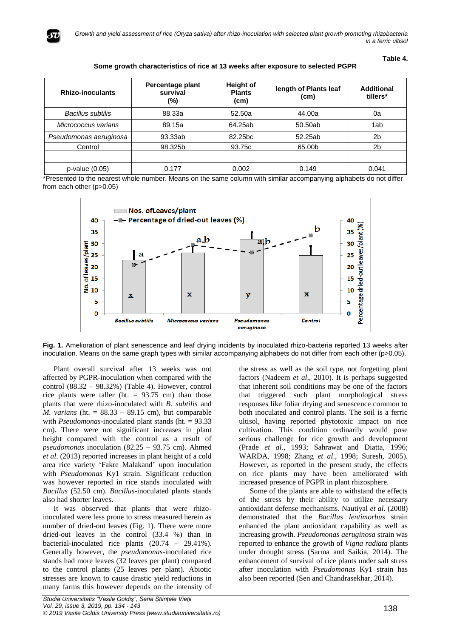

**Table 4.**

| <b>Rhizo-inoculants</b> | Percentage plant<br>survival<br>(%) | <b>Height of</b><br><b>Plants</b><br>(cm) | length of Plants leaf<br>(cm) | <b>Additional</b><br>tillers* |
|-------------------------|-------------------------------------|-------------------------------------------|-------------------------------|-------------------------------|
| Bacillus subtilis       | 88.33a                              | 52.50a                                    | 44.00a                        | 0a                            |
| Micrococcus varians     | 89.15a                              | 64.25ab                                   | 50.50ab                       | 1ab                           |
| Pseudomonas aeruginosa  | 93.33ab                             | 82.25 <sub>bc</sub>                       | 52.25ab                       | 2 <sub>b</sub>                |
| Control                 | 98.325b                             | 93.75c                                    | 65.00b                        | 2 <sub>b</sub>                |
|                         |                                     |                                           |                               |                               |
| $p$ -value $(0.05)$     | 0.177                               | 0.002                                     | 0.149                         | 0.041                         |

\*Presented to the nearest whole number. Means on the same column with similar accompanying alphabets do not differ from each other (p>0.05)



**Fig. 1.** Amelioration of plant senescence and leaf drying incidents by inoculated rhizo-bacteria reported 13 weeks after inoculation. Means on the same graph types with similar accompanying alphabets do not differ from each other (p>0.05).

Plant overall survival after 13 weeks was not affected by PGPR-inoculation when compared with the control (88.32 – 98.32%) (Table 4). However, control rice plants were taller (ht.  $= 93.75$  cm) than those plants that were rhizo-inoculated with *B. subtilis* and *M. varians* (ht. = 88.33 – 89.15 cm), but comparable with *Pseudomonas*-inoculated plant stands (ht. = 93.33) cm)*.* There were not significant increases in plant height compared with the control as a result of *pseudomonas* inoculation (82.25 – 93.75 cm). Ahmed *et al*. (2013) reported increases in plant height of a cold area rice variety 'Fakre Malakand' upon inoculation with *Pseudomonas* Ky1 strain. Significant reduction was however reported in rice stands inoculated with *Bacillus* (52.50 cm). *Bacillus*-inoculated plants stands also had shorter leaves.

It was observed that plants that were rhizoinoculated were less prone to stress measured herein as number of dried-out leaves (Fig. 1). There were more dried-out leaves in the control (33.4 %) than in bacterial*-*inoculated rice plants (20.74 – 29.41%). Generally however, the *pseudomonas*-inoculated rice stands had more leaves (32 leaves per plant) compared to the control plants (25 leaves per plant). Abiotic stresses are known to cause drastic yield reductions in many farms this however depends on the intensity of the stress as well as the soil type, not forgetting plant factors (Nadeem *et al*., 2010). It is perhaps suggested that inherent soil conditions may be one of the factors that triggered such plant morphological stress responses like foliar drying and senescence common to both inoculated and control plants. The soil is a ferric ultisol, having reported phytotoxic impact on rice cultivation. This condition ordinarily would pose serious challenge for rice growth and development (Prade *et al*., 1993; Sahrawat and Diatta, 1996; WARDA, 1998; Zhang *et al*., 1998; Suresh, 2005). However, as reported in the present study, the effects on rice plants may have been ameliorated with increased presence of PGPR in plant rhizosphere.

Some of the plants are able to withstand the effects of the stress by their ability to utilize necessary antioxidant defense mechanisms. Nautiyal *et al*. (2008) demonstrated that the *Bacillus lentimorbus* strain enhanced the plant antioxidant capability as well as increasing growth. *Pseudomonas aeruginosa* strain was reported to enhance the growth of *Vigna radiata* plants under drought stress (Sarma and Saikia, 2014). The enhancement of survival of rice plants under salt stress after inoculation with *Pseudomonas* Ky1 strain has also been reported (Sen and Chandrasekhar, 2014).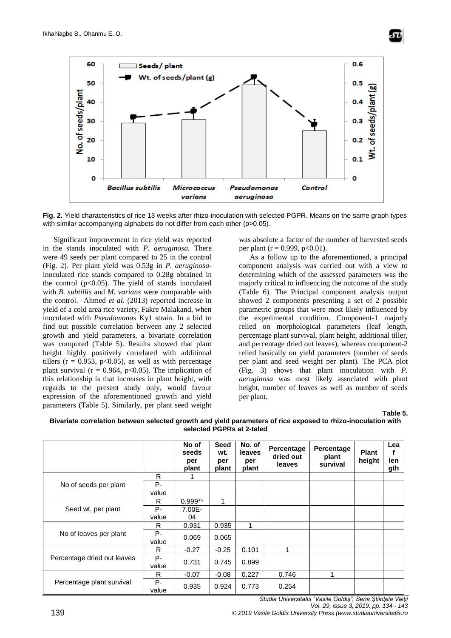



**Fig. 2.** Yield characteristics of rice 13 weeks after rhizo-inoculation with selected PGPR. Means on the same graph types with similar accompanying alphabets do not differ from each other (p>0.05).

Significant improvement in rice yield was reported in the stands inoculated with *P. aeruginosa.* There were 49 seeds per plant compared to 25 in the control (Fig. 2). Per plant yield was 0.53g in *P. aeruginosa*inoculated rice stands compared to 0.28g obtained in the control  $(p<0.05)$ . The yield of stands inoculated with *B. subtillis* and *M. varians* were comparable with the control. Ahmed *et al*. (2013) reported increase in yield of a cold area rice variety, Fakre Malakand, when inoculated with *Pseudomonas* Ky1 strain. In a bid to find out possible correlation between any 2 selected growth and yield parameters, a bivariate correlation was computed (Table 5). Results showed that plant height highly positively correlated with additional tillers ( $r = 0.953$ ,  $p < 0.05$ ), as well as with percentage plant survival ( $r = 0.964$ , p<0.05). The implication of this relationship is that increases in plant height, with regards to the present study only, would favour expression of the aforementioned growth and yield parameters (Table 5). Similarly, per plant seed weight was absolute a factor of the number of harvested seeds per plant ( $r = 0.999$ ,  $p < 0.01$ ).

As a follow up to the aforementioned, a principal component analysis was carried out with a view to determining which of the assessed parameters was the majorly critical to influencing the outcome of the study (Table 6). The Principal component analysis output showed 2 components presenting a set of 2 possible parametric groups that were most likely influenced by the experimental condition. Component-1 majorly relied on morphological parameters (leaf length, percentage plant survival, plant height, additional tiller, and percentage dried out leaves), whereas component-2 relied basically on yield parameters (number of seeds per plant and seed weight per plant). The PCA plot (Fig. 3) shows that plant inoculation with *P. aeruginosa* was most likely associated with plant height, number of leaves as well as number of seeds per plant.

**Table 5.**



|                             |             | No of<br>seeds<br>per<br>plant | <b>Seed</b><br>wt.<br>per<br>plant | No. of<br>leaves<br>per<br>plant | Percentage<br>dried out<br><b>leaves</b> | Percentage<br>plant<br>survival | <b>Plant</b><br>height | Lea<br>len<br>gth |
|-----------------------------|-------------|--------------------------------|------------------------------------|----------------------------------|------------------------------------------|---------------------------------|------------------------|-------------------|
|                             | R           |                                |                                    |                                  |                                          |                                 |                        |                   |
| No of seeds per plant       | P-          |                                |                                    |                                  |                                          |                                 |                        |                   |
|                             | value       |                                |                                    |                                  |                                          |                                 |                        |                   |
|                             | R           | $0.999**$                      | 1                                  |                                  |                                          |                                 |                        |                   |
| Seed wt. per plant          | Р-          | $7.00E -$                      |                                    |                                  |                                          |                                 |                        |                   |
|                             | value       | 04                             |                                    |                                  |                                          |                                 |                        |                   |
|                             | R           | 0.931                          | 0.935                              | 1                                |                                          |                                 |                        |                   |
| No of leaves per plant      | P-<br>value | 0.069                          | 0.065                              |                                  |                                          |                                 |                        |                   |
|                             | R.          | $-0.27$                        | $-0.25$                            | 0.101                            | 1                                        |                                 |                        |                   |
| Percentage dried out leaves | P-          |                                |                                    |                                  |                                          |                                 |                        |                   |
|                             | value       | 0.731                          | 0.745                              | 0.899                            |                                          |                                 |                        |                   |
|                             | R           | $-0.07$                        | $-0.08$                            | 0.227                            | 0.746                                    | 1                               |                        |                   |
| Percentage plant survival   | P-<br>value | 0.935                          | 0.924                              | 0.773                            | 0.254                                    |                                 |                        |                   |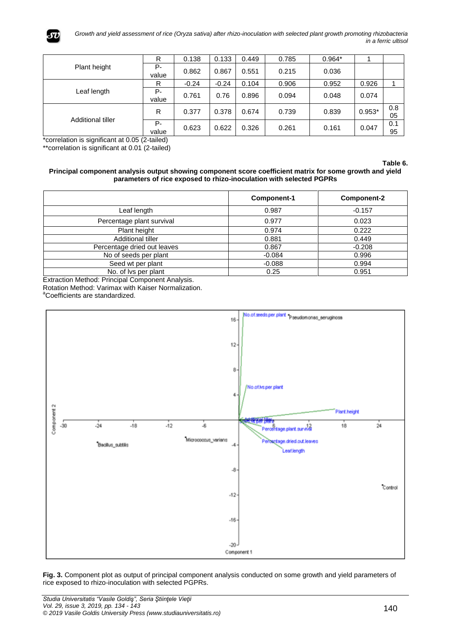

|                   | R              | 0.138   | 0.133   | 0.449 | 0.785 | $0.964*$ |          |           |
|-------------------|----------------|---------|---------|-------|-------|----------|----------|-----------|
| Plant height      | $P -$<br>value | 0.862   | 0.867   | 0.551 | 0.215 | 0.036    |          |           |
|                   | R              | $-0.24$ | $-0.24$ | 0.104 | 0.906 | 0.952    | 0.926    |           |
| Leaf length       | P-<br>value    | 0.761   | 0.76    | 0.896 | 0.094 | 0.048    | 0.074    |           |
| Additional tiller | R              | 0.377   | 0.378   | 0.674 | 0.739 | 0.839    | $0.953*$ | 0.8<br>05 |
|                   | $P -$<br>value | 0.623   | 0.622   | 0.326 | 0.261 | 0.161    | 0.047    | 0.1<br>95 |

\*correlation is significant at 0.05 (2-tailed)

\*\*correlation is significant at 0.01 (2-tailed)

**Table 6.**

#### **Principal component analysis output showing component score coefficient matrix for some growth and yield parameters of rice exposed to rhizo-inoculation with selected PGPRs**

|                             | Component-1 | <b>Component-2</b> |
|-----------------------------|-------------|--------------------|
| Leaf length                 | 0.987       | $-0.157$           |
| Percentage plant survival   | 0.977       | 0.023              |
| Plant height                | 0.974       | 0.222              |
| Additional tiller           | 0.881       | 0.449              |
| Percentage dried out leaves | 0.867       | $-0.208$           |
| No of seeds per plant       | $-0.084$    | 0.996              |
| Seed wt per plant           | $-0.088$    | 0.994              |
| No. of Ivs per plant        | 0.25        | 0.951              |

Extraction Method: Principal Component Analysis.

Rotation Method: Varimax with Kaiser Normalization.

<sup>a</sup>Coefficients are standardized.



**Fig. 3.** Component plot as output of principal component analysis conducted on some growth and yield parameters of rice exposed to rhizo-inoculation with selected PGPRs.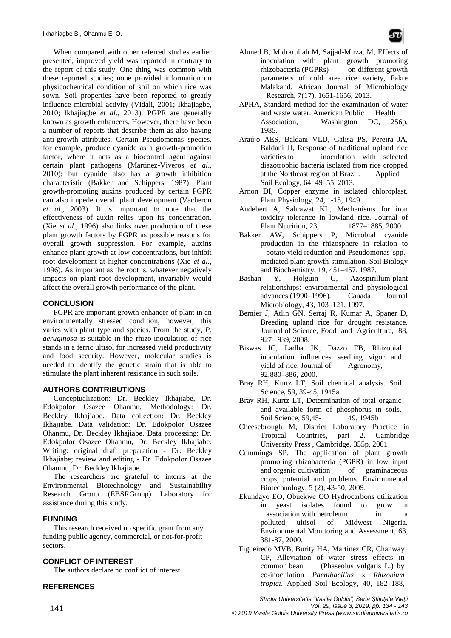When compared with other referred studies earlier presented, improved yield was reported in contrary to the report of this study. One thing was common with these reported studies; none provided information on physicochemical condition of soil on which rice was sown. Soil properties have been reported to greatly influence microbial activity (Vidali, 2001; Ikhajiagbe, 2010; Ikhajiagbe *et al*., 2013). PGPR are generally known as growth enhancers. However, there have been a number of reports that describe them as also having anti-growth attributes. Certain Pseudomonas species, for example, produce cyanide as a growth-promotion factor, where it acts as a biocontrol agent against certain plant pathogens (Martinez-Viveros *et al*., 2010); but cyanide also has a growth inhibition characteristic (Bakker and Schippers, 1987). Plant growth-promoting auxins produced by certain PGPR can also impede overall plant development (Vacheron *et al*., 2003). It is important to note that the effectiveness of auxin relies upon its concentration. (Xie *et al*., 1996) also links over production of these plant growth factors by PGPR as possible reasons for overall growth suppression. For example, auxins enhance plant growth at low concentrations, but inhibit root development at higher concentrations (Xie *et al*., 1996). As important as the root is, whatever negatively impacts on plant root development, invariably would affect the overall growth performance of the plant.

# **CONCLUSION**

PGPR are important growth enhancer of plant in an environmentally stressed condition, however, this varies with plant type and species. From the study, *P. aeruginosa* is suitable in the rhizo-inoculation of rice stands in a ferric ultisol for increased yield productivity and food security. However, molecular studies is needed to identify the genetic strain that is able to stimulate the plant inherent resistance in such soils.

# **AUTHORS CONTRIBUTIONS**

Conceptualization: Dr. Beckley Ikhajiabe, Dr. Edokpolor Osazee Ohanmu. Methodology: Dr. Beckley Ikhajiabe. Data collection: Dr. Beckley Ikhajiabe. Data validation: Dr. Edokpolor Osazee Ohanmu, Dr. Beckley Ikhajiabe. Data processing: Dr. Edokpolor Osazee Ohanmu, Dr. Beckley Ikhajiabe. Writing: original draft preparation - Dr. Beckley Ikhajiabe; review and editing - Dr. Edokpolor Osazee Ohanmu, Dr. Beckley Ikhajiabe.

The researchers are grateful to interns at the Environmental Biotechnology and Sustainability Research Group (EBSRGroup) Laboratory for assistance during this study.

# **FUNDING**

This research received no specific grant from any funding public agency, commercial, or not-for-profit sectors.

#### **CONFLICT OF INTEREST**

The authors declare no conflict of interest.

#### **REFERENCES**

- Ahmed B, Midrarullah M, Sajjad-Mirza, M, Effects of inoculation with plant growth promoting rhizobacteria (PGPRs) on different growth parameters of cold area rice variety, Fakre Malakand. African Journal of Microbiology Research, 7(17), 1651-1656, 2013.
- APHA, Standard method for the examination of water and waste water. American Public Health<br>Association. Washington DC, 25 Washington DC, 256p, 1985.
- Araújo AES, Baldani VLD, Galisa PS, Pereira JA, Baldani JI, Response of traditional upland rice varieties to inoculation with selected diazotrophic bacteria isolated from rice cropped at the Northeast region of Brazil. Applied Soil Ecology, 64, 49–55, 2013.
- Arnon DI, Copper enzyme in isolated chloroplast. Plant Physiology, 24, 1-15, 1949.
- Audebert A, Sahrawat KL, Mechanisms for iron toxicity tolerance in lowland rice. Journal of Plant Nutrition, 23, 1877–1885, 2000.
- Bakker AW, Schippers P, Microbial cyanide production in the rhizosphere in relation to potato yield reduction and Pseudomonas spp. mediated plant growth-stimulation. Soil Biology and Biochemistry, 19, 451–457, 1987.
- Bashan Y, Holguin G, Azospirillum-plant relationships: environmental and physiological advances (1990–1996)*.* Canada Journal Microbiology, 43, 103–121, 1997.
- Bernier J, Atlin GN, Serraj R, Kumar A, Spaner D, Breeding upland rice for drought resistance. Journal of Science, Food and Agriculture, 88, 927– 939, 2008.
- Biswas JC, Ladha JK, Dazzo FB, Rhizobial inoculation influences seedling vigor and yield of rice. Journal of Agronomy, 92,880–886, 2000.
- Bray RH, Kurtz LT, Soil chemical analysis. Soil Science, 59, 39-45, 1945a
- Bray RH, Kurtz LT, Determination of total organic and available form of phosphorus in soils. Soil Science, 59,45-<br>49, 1945b
- Cheesebrough M, District Laboratory Practice in Tropical Countries, part 2. Cambridge University Press , Cambridge, 355p, 2001
- Cummings SP, The application of plant growth promoting rhizobacteria (PGPR) in low input and organic cultivation of graminaceous crops, potential and problems. Environmental Biotechnology, 5 (2), 43-50, 2009.
- Ekundayo EO, Obuekwe CO Hydrocarbons utilization in yeast isolates found to grow in association with petroleum in a polluted ultisol of Midwest Nigeria. Environmental Monitoring and Assessment, 63, 381-87, 2000.
- Figueiredo MVB, Burity HA, Martinez CR, Chanway CP, Alleviation of water stress effects in common bean (Phaseolus vulgaris L.) by co-inoculation *Paenibacillus* x *Rhizobium tropici*. Applied Soil Ecology, 40, 182–188,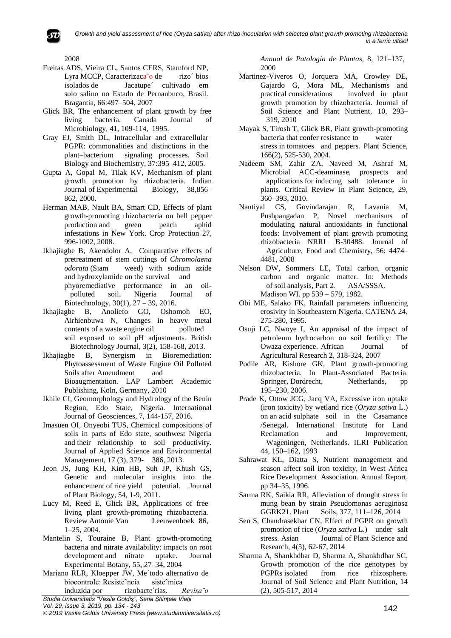*Growth and yield assessment of rice (Oryza sativa) after rhizo-inoculation with selected plant growth promoting rhizobacteria in a ferric ultisol*

2008

- Freitas ADS, Vieira CL, Santos CERS, Stamford NP, Lyra MCCP, Caracterizaca<sup>o</sup> de rizo bios isolados de Jacatupe´ cultivado em solo salino no Estado de Pernanbuco, Brasil. Bragantia, 66:497–504, 2007
- Glick BR, The enhancement of plant growth by free living bacteria. Canada Journal of Microbiology, 41, 109-114, 1995.
- Gray EJ, Smith DL, Intracellular and extracellular PGPR: commonalities and distinctions in the plant–bacterium signaling processes. Soil Biology and Biochemistry, 37:395–412, 2005.
- Gupta A, Gopal M, Tilak KV, Mechanism of plant growth promotion by rhizobacteria. Indian Journal of Experimental Biology, 38,856– 862, 2000.
- Herman MAB, Nault BA, Smart CD, Effects of plant growth-promoting rhizobacteria on bell pepper production and green peach aphid infestations in New York. Crop Protection 27, 996-1002, 2008.
- Ikhajiagbe B, Akendolor A, Comparative effects of pretreatment of stem cuttings of *Chromolaena odorata* (Siam weed) with sodium azide and hydroxylamide on the survival and phyoremediative performance in an oilpolluted soil. Nigeria Journal of Biotechnology, 30(1), 27 – 39, 2016.
- Ikhajiagbe B, Anoliefo GO, Oshomoh EO, Airhienbuwa N, Changes in heavy metal contents of a waste engine oil polluted soil exposed to soil pH adjustments. British Biotechnology Journal, 3(2), 158-168, 2013.
- Ikhajiagbe B, Synergism in Bioremediation: Phytoassessment of Waste Engine Oil Polluted Soils after Amendment and Bioaugmentation. LAP Lambert Academic Publishing, Köln, Germany, 2010
- Ikhile CI, Geomorphology and Hydrology of the Benin Region, Edo State, Nigeria. International Journal of Geosciences, 7, 144-157, 2016.
- Imasuen OI, Onyeobi TUS, Chemical compositions of soils in parts of Edo state, southwest Nigeria and their relationship to soil productivity. Journal of Applied Science and Environmental Management, 17 (3), 379- 386, 2013.
- Jeon JS, Jung KH, Kim HB, Suh JP, Khush GS, Genetic and molecular insights into the enhancement of rice yield potential. Journal of Plant Biology, 54, 1-9, 2011.
- Lucy M, Reed E, Glick BR, Applications of free living plant growth-promoting rhizobacteria. Review Antonie Van Leeuwenhoek 86, 1–25, 2004.
- Mantelin S, Touraine B, Plant growth-promoting bacteria and nitrate availability: impacts on root development and nitrate uptake. Journal Experimental Botany, 55, 27–34, 2004
- Mariano RLR, Kloepper JW, Me´todo alternativo de biocontrole: Resisteˆncia sisteˆmica

*Studia Universitatis "Vasile Goldiş", Seria Ştiinţele Vieţii Vol. 29, issue 3, 2019, pp. 134 - 143* induzida por rizobacte´rias. *Revisa˜o* 

*© 2019 Vasile Goldis University Press (www.studiauniversitatis.ro)*

*Annual de Patologia de Plantas,* 8, 121–137, 2000

- Martinez-Viveros O, Jorquera MA, Crowley DE, Gajardo G, Mora ML, Mechanisms and practical considerations involved in plant growth promotion by rhizobacteria. Journal of Soil Science and Plant Nutrient, 10, 293– 319, 2010
- Mayak S, Tirosh T, Glick BR, Plant growth-promoting bacteria that confer resistance to water stress in tomatoes and peppers. Plant Science, 166(2), 525-530, 2004.
- Nadeem SM, Zahir ZA, Naveed M, Ashraf M, Microbial ACC-deaminase, prospects and applications for inducing salt tolerance in plants. Critical Review in Plant Science, 29, 360–393, 2010.<br>al CS, Gov
- Nautiyal CS, Govindarajan R, Lavania M, Pushpangadan P, Novel mechanisms of modulating natural antioxidants in functional foods: Involvement of plant growth promoting rhizobacteria NRRL B-30488. Journal of Agriculture, Food and Chemistry, 56: 4474– 4481, 2008
- Nelson DW, Sommers LE, Total carbon, organic carbon and organic matter. In: Methods<br>of soil analysis, Part 2. ASA/SSSA. of soil analysis, Part 2. Madison WI. pp 539 – 579, 1982.
- Obi ME, Salako FK, Rainfall parameters influencing erosivity in Southeastern Nigeria. CATENA 24, 275-280, 1995.
- Osuji LC, Nwoye I, An appraisal of the impact of petroleum hydrocarbon on soil fertility: The Owaza experience. African Journal of Agricultural Research 2, 318-324, 2007
- Podile AR, Kishore GK, Plant growth-promoting rhizobacteria. In Plant-Associated Bacteria. Springer, Dordrecht, Netherlands, 195–230, 2006.
- Prade K, Ottow JCG, Jacq VA, Excessive iron uptake (iron toxicity) by wetland rice (*Oryza sativa* L.) on an acid sulphate soil in the Casamance /Senegal. International Institute for Land Reclamation and Improvement, Wageningen, Netherlands. ILRI Publication 44, 150–162, 1993
- Sahrawat KL, Diatta S, Nutrient management and season affect soil iron toxicity, in West Africa Rice Development Association. Annual Report, pp 34–35, 1996.
- Sarma RK, Saikia RR, Alleviation of drought stress in mung bean by strain Pseudomonas aeruginosa GGRK21. Plant Soils, 377, 111–126, 2014
- Sen S, Chandrasekhar CN, Effect of PGPR on growth promotion of rice (*Oryza sativa* L.) under salt stress. Asian Journal of Plant Science and Research, 4(5), 62-67, 2014
- Sharma A, Shankhdhar D, Sharma A, Shankhdhar SC, Growth promotion of the rice genotypes by PGPRs isolated from rice rhizosphere. Journal of Soil Science and Plant Nutrition, 14 (2), 505-517, 2014